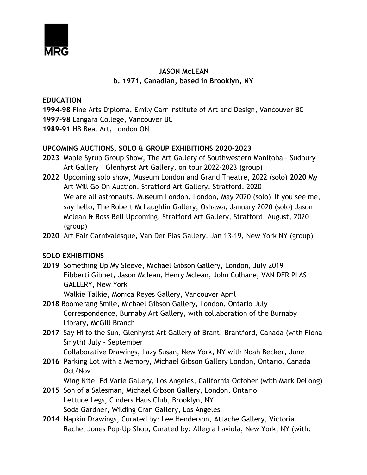

# **JASON McLEAN b. 1971, Canadian, based in Brooklyn, NY**

## **EDUCATION**

**1994-98** Fine Arts Diploma, Emily Carr Institute of Art and Design, Vancouver BC **1997-98** Langara College, Vancouver BC

**1989-91** HB Beal Art, London ON

# **UPCOMING AUCTIONS, SOLO & GROUP EXHIBITIONS 2020-2023**

- **2023** Maple Syrup Group Show, The Art Gallery of Southwestern Manitoba Sudbury Art Gallery – Glenhyrst Art Gallery, on tour 2022-2023 (group)
- **2022** Upcoming solo show, Museum London and Grand Theatre, 2022 (solo) **2020** My Art Will Go On Auction, Stratford Art Gallery, Stratford, 2020 We are all astronauts, Museum London, London, May 2020 (solo) If you see me, say hello, The Robert McLaughlin Gallery, Oshawa, January 2020 (solo) Jason Mclean & Ross Bell Upcoming, Stratford Art Gallery, Stratford, August, 2020 (group)
- **2020** Art Fair Carnivalesque, Van Der Plas Gallery, Jan 13-19, New York NY (group)

# **SOLO EXHIBITIONS**

**2019** Something Up My Sleeve, Michael Gibson Gallery, London, July 2019 Fibberti Gibbet, Jason Mclean, Henry Mclean, John Culhane, VAN DER PLAS GALLERY, New York

Walkie Talkie, Monica Reyes Gallery, Vancouver April

- **2018** Boomerang Smile, Michael Gibson Gallery, London, Ontario July Correspondence, Burnaby Art Gallery, with collaboration of the Burnaby Library, McGill Branch
- **2017** Say Hi to the Sun, Glenhyrst Art Gallery of Brant, Brantford, Canada (with Fiona Smyth) July – September

Collaborative Drawings, Lazy Susan, New York, NY with Noah Becker, June

**2016** Parking Lot with a Memory, Michael Gibson Gallery London, Ontario, Canada Oct/Nov

Wing Nite, Ed Varie Gallery, Los Angeles, California October (with Mark DeLong)

- **2015** Son of a Salesman, Michael Gibson Gallery, London, Ontario Lettuce Legs, Cinders Haus Club, Brooklyn, NY Soda Gardner, Wilding Cran Gallery, Los Angeles
- **2014** Napkin Drawings, Curated by: Lee Henderson, Attache Gallery, Victoria Rachel Jones Pop-Up Shop, Curated by: Allegra Laviola, New York, NY (with: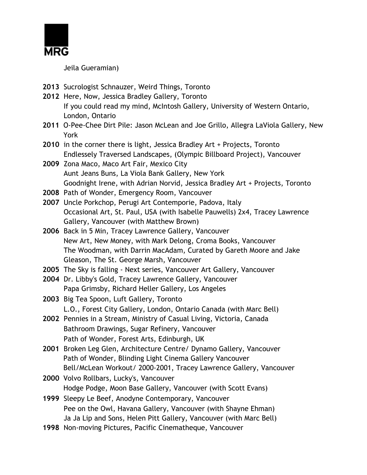

Jeila Gueramian)

- **2013** Sucrologist Schnauzer, Weird Things, Toronto
- **2012** Here, Now, Jessica Bradley Gallery, Toronto If you could read my mind, McIntosh Gallery, University of Western Ontario, London, Ontario
- **2011** O-Pee-Chee Dirt Pile: Jason McLean and Joe Grillo, Allegra LaViola Gallery, New York
- **2010** in the corner there is light, Jessica Bradley Art + Projects, Toronto Endlessely Traversed Landscapes, (Olympic Billboard Project), Vancouver
- **2009** Zona Maco, Maco Art Fair, Mexico City Aunt Jeans Buns, La Viola Bank Gallery, New York Goodnight Irene, with Adrian Norvid, Jessica Bradley Art + Projects, Toronto
- **2008** Path of Wonder, Emergency Room, Vancouver
- **2007** Uncle Porkchop, Perugi Art Contemporie, Padova, Italy Occasional Art, St. Paul, USA (with Isabelle Pauwells) 2x4, Tracey Lawrence Gallery, Vancouver (with Matthew Brown)
- **2006** Back in 5 Min, Tracey Lawrence Gallery, Vancouver New Art, New Money, with Mark Delong, Croma Books, Vancouver The Woodman, with Darrin MacAdam, Curated by Gareth Moore and Jake Gleason, The St. George Marsh, Vancouver
- **2005** The Sky is falling Next series, Vancouver Art Gallery, Vancouver
- **2004** Dr. Libby's Gold, Tracey Lawrence Gallery, Vancouver Papa Grimsby, Richard Heller Gallery, Los Angeles
- **2003** Big Tea Spoon, Luft Gallery, Toronto L.O., Forest City Gallery, London, Ontario Canada (with Marc Bell)
- **2002** Pennies in a Stream, Ministry of Casual Living, Victoria, Canada Bathroom Drawings, Sugar Refinery, Vancouver Path of Wonder, Forest Arts, Edinburgh, UK
- **2001** Broken Leg Glen, Architecture Centre/ Dynamo Gallery, Vancouver Path of Wonder, Blinding Light Cinema Gallery Vancouver Bell/McLean Workout/ 2000-2001, Tracey Lawrence Gallery, Vancouver
- **2000** Volvo Rollbars, Lucky's, Vancouver Hodge Podge, Moon Base Gallery, Vancouver (with Scott Evans)
- **1999** Sleepy Le Beef, Anodyne Contemporary, Vancouver Pee on the Owl, Havana Gallery, Vancouver (with Shayne Ehman) Ja Ja Lip and Sons, Helen Pitt Gallery, Vancouver (with Marc Bell)
- **1998** Non-moving Pictures, Pacific Cinematheque, Vancouver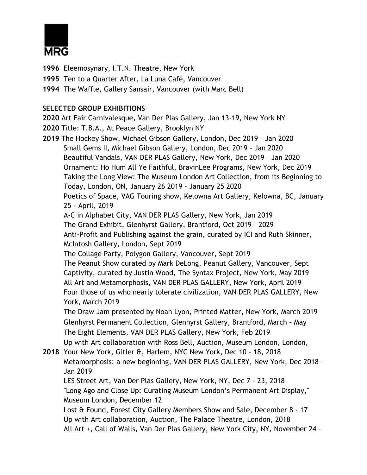

**1996** Eleemosynary, I.T.N. Theatre, New York

- **1995** Ten to a Quarter After, La Luna Café, Vancouver
- **1994** The Waffle, Gallery Sansair, Vancouver (with Marc Bell)

## **SELECTED GROUP EXHIBITIONS**

**2020** Art Fair Carnivalesque, Van Der Plas Gallery, Jan 13-19, New York NY

- **2020** Title: T.B.A., At Peace Gallery, Brooklyn NY
- **2019** The Hockey Show, Michael Gibson Gallery, London, Dec 2019 Jan 2020 Small Gems II, Michael Gibson Gallery, London, Dec 2019 – Jan 2020 Beautiful Vandals, VAN DER PLAS Gallery, New York, Dec 2019 – Jan 2020 Ornament: Ho Hum All Ye Faithful, BravinLee Programs, New York, Dec 2019 Taking the Long View: The Museum London Art Collection, from its Beginning to Today, London, ON, January 26 2019 - January 25 2020 Poetics of Space, VAG Touring show, Kelowna Art Gallery, Kelowna, BC, January 25 - April, 2019 A-C in Alphabet City, VAN DER PLAS Gallery, New York, Jan 2019 The Grand Exhibit, Glenhyrst Gallery, Brantford, Oct 2019 – 2029 Anti-Profit and Publishing against the grain, curated by ICI and Ruth Skinner, McIntosh Gallery, London, Sept 2019 The Collage Party, Polygon Gallery, Vancouver, Sept 2019 The Peanut Show curated by Mark DeLong, Peanut Gallery, Vancouver, Sept Captivity, curated by Justin Wood, The Syntax Project, New York, May 2019 All Art and Metamorphosis, VAN DER PLAS GALLERY, New York, April 2019 Four those of us who nearly tolerate civilization, VAN DER PLAS GALLERY, New York, March 2019 The Draw Jam presented by Noah Lyon, Printed Matter, New York, March 2019 Glenhyrst Permanent Collection, Glenhyrst Gallery, Brantford, March – May The Eight Elements, VAN DER PLAS Gallery, New York, Feb 2019 Up with Art collaboration with Ross Bell, Auction, Museum London, London, **2018** Your New York, Gitler &, Harlem, NYC New York, Dec 10 - 18, 2018 Metamorphosis: a new beginning, VAN DER PLAS GALLERY, New York, Dec 2018 – Jan 2019 LES Street Art, Van Der Plas Gallery, New York, NY, Dec 7 - 23, 2018 "Long Ago and Close Up: Curating Museum London's Permanent Art Display," Museum London, December 12 Lost & Found, Forest City Gallery Members Show and Sale, December 8 - 17 Up with Art collaboration, Auction, The Palace Theatre, London, 2018 All Art +, Call of Walls, Van Der Plas Gallery, New York City, NY, November 24 –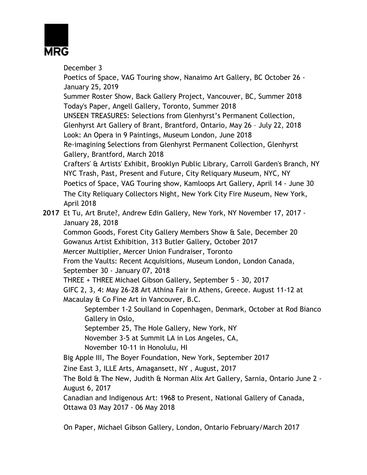

December 3 Poetics of Space, VAG Touring show, Nanaimo Art Gallery, BC October 26 - January 25, 2019 Summer Roster Show, Back Gallery Project, Vancouver, BC, Summer 2018 Today's Paper, Angell Gallery, Toronto, Summer 2018 UNSEEN TREASURES: Selections from Glenhyrst's Permanent Collection, Glenhyrst Art Gallery of Brant, Brantford, Ontario, May 26 – July 22, 2018 Look: An Opera in 9 Paintings, Museum London, June 2018 Re-imagining Selections from Glenhyrst Permanent Collection, Glenhyrst Gallery, Brantford, March 2018 Crafters' & Artists' Exhibit, Brooklyn Public Library, Carroll Garden's Branch, NY NYC Trash, Past, Present and Future, City Reliquary Museum, NYC, NY Poetics of Space, VAG Touring show, Kamloops Art Gallery, April 14 - June 30 The City Reliquary Collectors Night, New York City Fire Museum, New York, April 2018 **2017** Et Tu, Art Brute?, Andrew Edin Gallery, New York, NY November 17, 2017 - January 28, 2018 Common Goods, Forest City Gallery Members Show & Sale, December 20 Gowanus Artist Exhibition, 313 Butler Gallery, October 2017 Mercer Multiplier, Mercer Union Fundraiser, Toronto From the Vaults: Recent Acquisitions, Museum London, London Canada, September 30 - January 07, 2018 THREE + THREE Michael Gibson Gallery, September 5 - 30, 2017 GIFC 2, 3, 4: May 26-28 Art Athina Fair in Athens, Greece. August 11-12 at Macaulay & Co Fine Art in Vancouver, B.C. September 1-2 Soulland in Copenhagen, Denmark, October at Rod Bianco Gallery in Oslo, September 25, The Hole Gallery, New York, NY November 3-5 at Summit LA in Los Angeles, CA, November 10-11 in Honolulu, HI Big Apple III, The Boyer Foundation, New York, September 2017 Zine East 3, ILLE Arts, Amagansett, NY , August, 2017 The Bold & The New, Judith & Norman Alix Art Gallery, Sarnia, Ontario June 2 - August 6, 2017 Canadian and Indigenous Art: 1968 to Present, National Gallery of Canada, Ottawa 03 May 2017 - 06 May 2018

On Paper, Michael Gibson Gallery, London, Ontario February/March 2017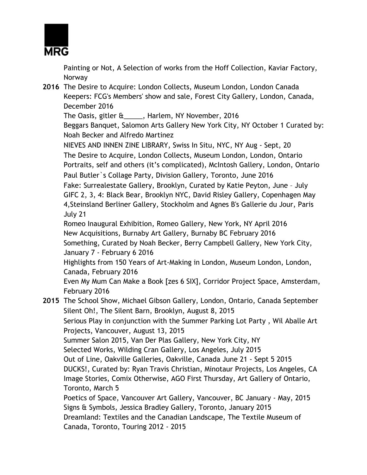

Painting or Not, A Selection of works from the Hoff Collection, Kaviar Factory, Norway

**2016** The Desire to Acquire: London Collects, Museum London, London Canada Keepers: FCG's Members' show and sale, Forest City Gallery, London, Canada, December 2016

The Oasis, gitler &\_\_\_\_\_, Harlem, NY November, 2016

Beggars Banquet, Salomon Arts Gallery New York City, NY October 1 Curated by: Noah Becker and Alfredo Martinez

NIEVES AND INNEN ZINE LIBRARY, Swiss In Situ, NYC, NY Aug - Sept, 20 The Desire to Acquire, London Collects, Museum London, London, Ontario Portraits, self and others (it's complicated), McIntosh Gallery, London, Ontario Paul Butler`s Collage Party, Division Gallery, Toronto, June 2016 Fake: Surrealestate Gallery, Brooklyn, Curated by Katie Peyton, June – July GIFC 2, 3, 4: Black Bear, Brooklyn NYC, David Risley Gallery, Copenhagen May 4,Steinsland Berliner Gallery, Stockholm and Agnes B's Gallerie du Jour, Paris July 21 Romeo Inaugural Exhibition, Romeo Gallery, New York, NY April 2016

New Acquisitions, Burnaby Art Gallery, Burnaby BC February 2016

Something, Curated by Noah Becker, Berry Campbell Gallery, New York City, January 7 - February 6 2016

Highlights from 150 Years of Art-Making in London, Museum London, London, Canada, February 2016

Even My Mum Can Make a Book [zes 6 SIX], Corridor Project Space, Amsterdam, February 2016

**2015** The School Show, Michael Gibson Gallery, London, Ontario, Canada September Silent Oh!, The Silent Barn, Brooklyn, August 8, 2015 Serious Play in conjunction with the Summer Parking Lot Party , Wil Aballe Art Projects, Vancouver, August 13, 2015 Summer Salon 2015, Van Der Plas Gallery, New York City, NY Selected Works, Wilding Cran Gallery, Los Angeles, July 2015 Out of Line, Oakville Galleries, Oakville, Canada June 21 - Sept 5 2015 DUCKS!, Curated by: Ryan Travis Christian, Minotaur Projects, Los Angeles, CA Image Stories, Comix Otherwise, AGO First Thursday, Art Gallery of Ontario, Toronto, March 5 Poetics of Space, Vancouver Art Gallery, Vancouver, BC January - May, 2015 Signs & Symbols, Jessica Bradley Gallery, Toronto, January 2015 Dreamland: Textiles and the Canadian Landscape, The Textile Museum of Canada, Toronto, Touring 2012 - 2015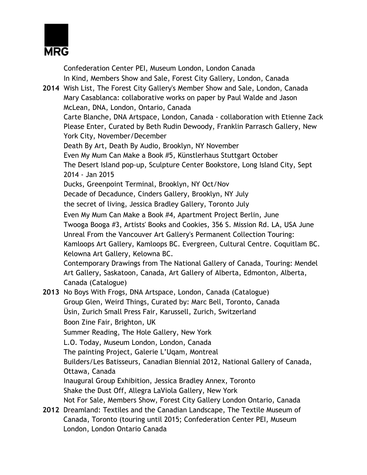

Confederation Center PEI, Museum London, London Canada In Kind, Members Show and Sale, Forest City Gallery, London, Canada **2014** Wish List, The Forest City Gallery's Member Show and Sale, London, Canada Mary Casablanca: collaborative works on paper by Paul Walde and Jason McLean, DNA, London, Ontario, Canada Carte Blanche, DNA Artspace, London, Canada - collaboration with Etienne Zack Please Enter, Curated by Beth Rudin Dewoody, Franklin Parrasch Gallery, New York City, November/December Death By Art, Death By Audio, Brooklyn, NY November Even My Mum Can Make a Book #5, Künstlerhaus Stuttgart October The Desert Island pop-up, Sculpture Center Bookstore, Long Island City, Sept 2014 - Jan 2015 Ducks, Greenpoint Terminal, Brooklyn, NY Oct/Nov Decade of Decadunce, Cinders Gallery, Brooklyn, NY July the secret of living, Jessica Bradley Gallery, Toronto July Even My Mum Can Make a Book #4, Apartment Project Berlin, June Twooga Booga #3, Artists' Books and Cookies, 356 S. Mission Rd. LA, USA June Unreal From the Vancouver Art Gallery's Permanent Collection Touring: Kamloops Art Gallery, Kamloops BC. Evergreen, Cultural Centre. Coquitlam BC. Kelowna Art Gallery, Kelowna BC. Contemporary Drawings from The National Gallery of Canada, Touring: Mendel Art Gallery, Saskatoon, Canada, Art Gallery of Alberta, Edmonton, Alberta, Canada (Catalogue) **2013** No Boys With Frogs, DNA Artspace, London, Canada (Catalogue) Group Glen, Weird Things, Curated by: Marc Bell, Toronto, Canada Üsin, Zurich Small Press Fair, Karussell, Zurich, Switzerland Boon Zine Fair, Brighton, UK Summer Reading, The Hole Gallery, New York L.O. Today, Museum London, London, Canada The painting Project, Galerie L'Uqam, Montreal Builders/Les Batisseurs, Canadian Biennial 2012, National Gallery of Canada, Ottawa, Canada Inaugural Group Exhibition, Jessica Bradley Annex, Toronto Shake the Dust Off, Allegra LaViola Gallery, New York Not For Sale, Members Show, Forest City Gallery London Ontario, Canada **2012** Dreamland: Textiles and the Canadian Landscape, The Textile Museum of

Canada, Toronto (touring until 2015; Confederation Center PEI, Museum London, London Ontario Canada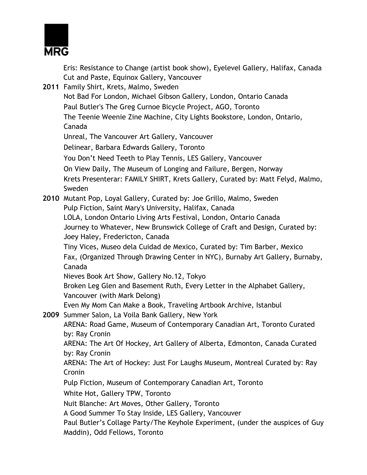

Eris: Resistance to Change (artist book show), Eyelevel Gallery, Halifax, Canada Cut and Paste, Equinox Gallery, Vancouver

| 2011 Family Shirt, Krets, Malmo, Sweden                                                                                |
|------------------------------------------------------------------------------------------------------------------------|
| Not Bad For London, Michael Gibson Gallery, London, Ontario Canada                                                     |
| Paul Butler's The Greg Curnoe Bicycle Project, AGO, Toronto                                                            |
| The Teenie Weenie Zine Machine, City Lights Bookstore, London, Ontario,                                                |
| Canada                                                                                                                 |
| Unreal, The Vancouver Art Gallery, Vancouver                                                                           |
| Delinear, Barbara Edwards Gallery, Toronto                                                                             |
| You Don't Need Teeth to Play Tennis, LES Gallery, Vancouver                                                            |
| On View Daily, The Museum of Longing and Failure, Bergen, Norway                                                       |
| Krets Presenterar: FAMILY SHIRT, Krets Gallery, Curated by: Matt Felyd, Malmo,                                         |
| Sweden                                                                                                                 |
| 2010 Mutant Pop, Loyal Gallery, Curated by: Joe Grillo, Malmo, Sweden                                                  |
| Pulp Fiction, Saint Mary's University, Halifax, Canada                                                                 |
| LOLA, London Ontario Living Arts Festival, London, Ontario Canada                                                      |
| Journey to Whatever, New Brunswick College of Craft and Design, Curated by:                                            |
| Joey Haley, Fredericton, Canada                                                                                        |
| Tiny Vices, Museo dela Cuidad de Mexico, Curated by: Tim Barber, Mexico                                                |
| Fax, (Organized Through Drawing Center in NYC), Burnaby Art Gallery, Burnaby,                                          |
| Canada                                                                                                                 |
| Nieves Book Art Show, Gallery No.12, Tokyo<br>Broken Leg Glen and Basement Ruth, Every Letter in the Alphabet Gallery, |
| Vancouver (with Mark Delong)                                                                                           |
| Even My Mom Can Make a Book, Traveling Artbook Archive, Istanbul                                                       |
| 2009 Summer Salon, La Voila Bank Gallery, New York                                                                     |
| ARENA: Road Game, Museum of Contemporary Canadian Art, Toronto Curated                                                 |
| by: Ray Cronin                                                                                                         |
| ARENA: The Art Of Hockey, Art Gallery of Alberta, Edmonton, Canada Curated                                             |
| by: Ray Cronin                                                                                                         |
| ARENA: The Art of Hockey: Just For Laughs Museum, Montreal Curated by: Ray                                             |
| Cronin                                                                                                                 |
| Pulp Fiction, Museum of Contemporary Canadian Art, Toronto                                                             |
| White Hot, Gallery TPW, Toronto                                                                                        |
| Nuit Blanche: Art Moves, Other Gallery, Toronto                                                                        |
| A Good Summer To Stay Inside, LES Gallery, Vancouver                                                                   |
| Paul Butler's Collage Party/The Keyhole Experiment, (under the auspices of Guy                                         |
| Maddin), Odd Fellows, Toronto                                                                                          |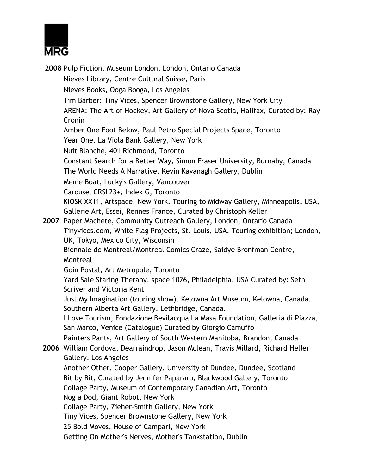

**2008** Pulp Fiction, Museum London, London, Ontario Canada Nieves Library, Centre Cultural Suisse, Paris Nieves Books, Ooga Booga, Los Angeles Tim Barber: Tiny Vices, Spencer Brownstone Gallery, New York City ARENA: The Art of Hockey, Art Gallery of Nova Scotia, Halifax, Curated by: Ray Cronin Amber One Foot Below, Paul Petro Special Projects Space, Toronto Year One, La Viola Bank Gallery, New York Nuit Blanche, 401 Richmond, Toronto Constant Search for a Better Way, Simon Fraser University, Burnaby, Canada The World Needs A Narrative, Kevin Kavanagh Gallery, Dublin Meme Boat, Lucky's Gallery, Vancouver Carousel CRSL23+, Index G, Toronto KIOSK XX11, Artspace, New York. Touring to Midway Gallery, Minneapolis, USA, Gallerie Art, Essei, Rennes France, Curated by Christoph Keller **2007** Paper Machete, Community Outreach Gallery, London, Ontario Canada Tinyvices.com, White Flag Projects, St. Louis, USA, Touring exhibition; London, UK, Tokyo, Mexico City, Wisconsin Biennale de Montreal/Montreal Comics Craze, Saidye Bronfman Centre, Montreal Goin Postal, Art Metropole, Toronto Yard Sale Staring Therapy, space 1026, Philadelphia, USA Curated by: Seth Scriver and Victoria Kent Just My Imagination (touring show). Kelowna Art Museum, Kelowna, Canada. Southern Alberta Art Gallery, Lethbridge, Canada. I Love Tourism, Fondazione Bevilacqua La Masa Foundation, Galleria di Piazza, San Marco, Venice (Catalogue) Curated by Giorgio Camuffo Painters Pants, Art Gallery of South Western Manitoba, Brandon, Canada **2006** William Cordova, Dearraindrop, Jason Mclean, Travis Millard, Richard Heller Gallery, Los Angeles Another Other, Cooper Gallery, University of Dundee, Dundee, Scotland Bit by Bit, Curated by Jennifer Papararo, Blackwood Gallery, Toronto Collage Party, Museum of Contemporary Canadian Art, Toronto Nog a Dod, Giant Robot, New York Collage Party, Zieher-Smith Gallery, New York Tiny Vices, Spencer Brownstone Gallery, New York 25 Bold Moves, House of Campari, New York Getting On Mother's Nerves, Mother's Tankstation, Dublin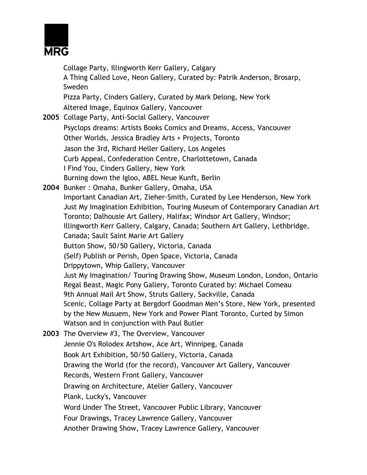

Collage Party, Illingworth Kerr Gallery, Calgary A Thing Called Love, Neon Gallery, Curated by: Patrik Anderson, Brosarp, Sweden Pizza Party, Cinders Gallery, Curated by Mark Delong, New York Altered Image, Equinox Gallery, Vancouver **2005** Collage Party, Anti-Social Gallery, Vancouver Psyclops dreams: Artists Books Comics and Dreams, Access, Vancouver Other Worlds, Jessica Bradley Arts + Projects, Toronto Jason the 3rd, Richard Heller Gallery, Los Angeles Curb Appeal, Confederation Centre, Charlottetown, Canada I Find You, Cinders Gallery, New York Burning down the Igloo, ABEL Neue Kunft, Berlin **2004** Bunker : Omaha, Bunker Gallery, Omaha, USA Important Canadian Art, Zieher-Smith, Curated by Lee Henderson, New York Just My Imagination Exhibition, Touring Museum of Contemporary Canadian Art Toronto; Dalhousie Art Gallery, Halifax; Windsor Art Gallery, Windsor; Illingworth Kerr Gallery, Calgary, Canada; Southern Art Gallery, Lethbridge, Canada; Sault Saint Marie Art Gallery Button Show, 50/50 Gallery, Victoria, Canada (Self) Publish or Perish, Open Space, Victoria, Canada Drippytown, Whip Gallery, Vancouver Just My Imagination/ Touring Drawing Show, Museum London, London, Ontario Regal Beast, Magic Pony Gallery, Toronto Curated by: Michael Comeau 9th Annual Mail Art Show, Struts Gallery, Sackville, Canada Scenic, Collage Party at Bergdorf Goodman Men's Store, New York, presented by the New Musuem, New York and Power Plant Toronto, Curted by Simon Watson and in conjunction with Paul Butler **2003** The Overview #3, The Overview, Vancouver Jennie O's Rolodex Artshow, Ace Art, Winnipeg, Canada Book Art Exhibition, 50/50 Gallery, Victoria, Canada Drawing the World (for the record), Vancouver Art Gallery, Vancouver Records, Western Front Gallery, Vancouver Drawing on Architecture, Atelier Gallery, Vancouver Plank, Lucky's, Vancouver Word Under The Street, Vancouver Public Library, Vancouver Four Drawings, Tracey Lawrence Gallery, Vancouver Another Drawing Show, Tracey Lawrence Gallery, Vancouver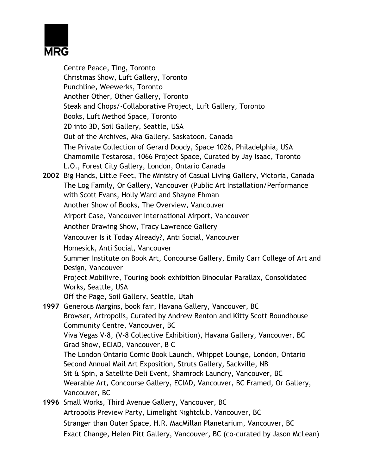

Centre Peace, Ting, Toronto Christmas Show, Luft Gallery, Toronto Punchline, Weewerks, Toronto Another Other, Other Gallery, Toronto Steak and Chops/-Collaborative Project, Luft Gallery, Toronto Books, Luft Method Space, Toronto 2D into 3D, Soil Gallery, Seattle, USA Out of the Archives, Aka Gallery, Saskatoon, Canada The Private Collection of Gerard Doody, Space 1026, Philadelphia, USA Chamomile Testarosa, 1066 Project Space, Curated by Jay Isaac, Toronto L.O., Forest City Gallery, London, Ontario Canada **2002** Big Hands, Little Feet, The Ministry of Casual Living Gallery, Victoria, Canada The Log Family, Or Gallery, Vancouver (Public Art Installation/Performance with Scott Evans, Holly Ward and Shayne Ehman Another Show of Books, The Overview, Vancouver Airport Case, Vancouver International Airport, Vancouver Another Drawing Show, Tracy Lawrence Gallery Vancouver Is it Today Already?, Anti Social, Vancouver Homesick, Anti Social, Vancouver Summer Institute on Book Art, Concourse Gallery, Emily Carr College of Art and Design, Vancouver Project Mobilivre, Touring book exhibition Binocular Parallax, Consolidated Works, Seattle, USA Off the Page, Soil Gallery, Seattle, Utah **1997** Generous Margins, book fair, Havana Gallery, Vancouver, BC Browser, Artropolis, Curated by Andrew Renton and Kitty Scott Roundhouse Community Centre, Vancouver, BC Viva Vegas V-8, (V-8 Collective Exhibition), Havana Gallery, Vancouver, BC Grad Show, ECIAD, Vancouver, B C The London Ontario Comic Book Launch, Whippet Lounge, London, Ontario Second Annual Mail Art Exposition, Struts Gallery, Sackville, NB Sit & Spin, a Satellite Deli Event, Shamrock Laundry, Vancouver, BC Wearable Art, Concourse Gallery, ECIAD, Vancouver, BC Framed, Or Gallery, Vancouver, BC **1996** Small Works, Third Avenue Gallery, Vancouver, BC Artropolis Preview Party, Limelight Nightclub, Vancouver, BC Stranger than Outer Space, H.R. MacMillan Planetarium, Vancouver, BC

Exact Change, Helen Pitt Gallery, Vancouver, BC (co-curated by Jason McLean)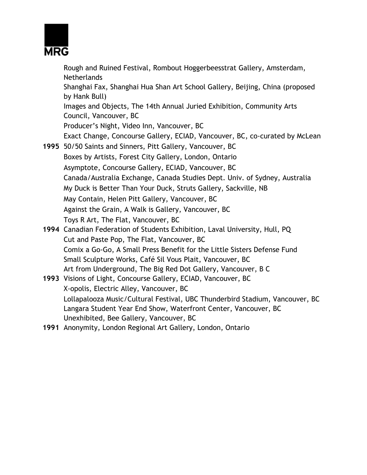

Rough and Ruined Festival, Rombout Hoggerbeesstrat Gallery, Amsterdam, Netherlands Shanghai Fax, Shanghai Hua Shan Art School Gallery, Beijing, China (proposed by Hank Bull) Images and Objects, The 14th Annual Juried Exhibition, Community Arts Council, Vancouver, BC Producer's Night, Video Inn, Vancouver, BC Exact Change, Concourse Gallery, ECIAD, Vancouver, BC, co-curated by McLean **1995** 50/50 Saints and Sinners, Pitt Gallery, Vancouver, BC Boxes by Artists, Forest City Gallery, London, Ontario Asymptote, Concourse Gallery, ECIAD, Vancouver, BC Canada/Australia Exchange, Canada Studies Dept. Univ. of Sydney, Australia My Duck is Better Than Your Duck, Struts Gallery, Sackville, NB May Contain, Helen Pitt Gallery, Vancouver, BC Against the Grain, A Walk is Gallery, Vancouver, BC Toys R Art, The Flat, Vancouver, BC **1994** Canadian Federation of Students Exhibition, Laval University, Hull, PQ Cut and Paste Pop, The Flat, Vancouver, BC Comix a Go-Go, A Small Press Benefit for the Little Sisters Defense Fund Small Sculpture Works, Café Sil Vous Plait, Vancouver, BC Art from Underground, The Big Red Dot Gallery, Vancouver, B C **1993** Visions of Light, Concourse Gallery, ECIAD, Vancouver, BC X-opolis, Electric Alley, Vancouver, BC Lollapalooza Music/Cultural Festival, UBC Thunderbird Stadium, Vancouver, BC Langara Student Year End Show, Waterfront Center, Vancouver, BC Unexhibited, Bee Gallery, Vancouver, BC

**1991** Anonymity, London Regional Art Gallery, London, Ontario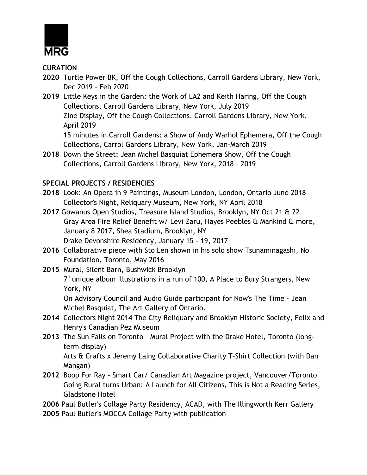

**CURATION** 

- **2020** Turtle Power BK, Off the Cough Collections, Carroll Gardens Library, New York, Dec 2019 - Feb 2020
- **2019** Little Keys in the Garden: the Work of LA2 and Keith Haring, Off the Cough Collections, Carroll Gardens Library, New York, July 2019 Zine Display, Off the Cough Collections, Carroll Gardens Library, New York, April 2019 15 minutes in Carroll Gardens: a Show of Andy Warhol Ephemera, Off the Cough

Collections, Carrol Gardens Library, New York, Jan-March 2019

**2018** Down the Street: Jean Michel Basquiat Ephemera Show, Off the Cough Collections, Carroll Gardens Library, New York, 2018 – 2019

# **SPECIAL PROJECTS / RESIDENCIES**

- **2018** Look: An Opera in 9 Paintings, Museum London, London, Ontario June 2018 Collector's Night, Reliquary Museum, New York, NY April 2018
- **2017** Gowanus Open Studios, Treasure Island Studios, Brooklyn, NY Oct 21 & 22 Gray Area Fire Relief Benefit w/ Levi Zaru, Hayes Peebles & Mankind & more, January 8 2017, Shea Stadium, Brooklyn, NY Drake Devonshire Residency, January 15 - 19, 2017
- **2016** Collaborative piece with Sto Len shown in his solo show Tsunaminagashi, No Foundation, Toronto, May 2016
- **2015** Mural, Silent Barn, Bushwick Brooklyn 7" unique album illustrations in a run of 100, A Place to Bury Strangers, New York, NY

On Advisory Council and Audio Guide participant for Now's The Time - Jean Michel Basquiat, The Art Gallery of Ontario.

- **2014** Collectors Night 2014 The City Reliquary and Brooklyn Historic Society, Felix and Henry's Canadian Pez Museum
- **2013** The Sun Falls on Toronto Mural Project with the Drake Hotel, Toronto (longterm display)

Arts & Crafts x Jeremy Laing Collaborative Charity T-Shirt Collection (with Dan Mangan)

**2012** Boop For Ray - Smart Car/ Canadian Art Magazine project, Vancouver/Toronto Going Rural turns Urban: A Launch for All Citizens, This is Not a Reading Series, Gladstone Hotel

**2006** Paul Butler's Collage Party Residency, ACAD, with The Illingworth Kerr Gallery **2005** Paul Butler's MOCCA Collage Party with publication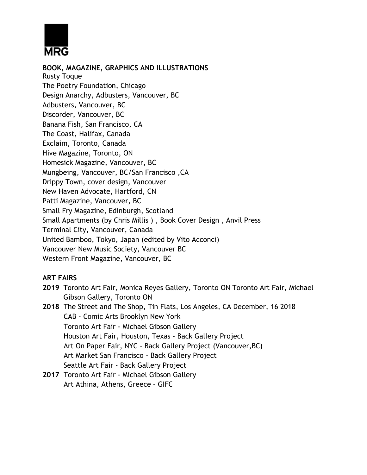

**BOOK, MAGAZINE, GRAPHICS AND ILLUSTRATIONS**  Rusty Toque The Poetry Foundation, Chicago Design Anarchy, Adbusters, Vancouver, BC Adbusters, Vancouver, BC Discorder, Vancouver, BC Banana Fish, San Francisco, CA The Coast, Halifax, Canada Exclaim, Toronto, Canada Hive Magazine, Toronto, ON Homesick Magazine, Vancouver, BC Mungbeing, Vancouver, BC/San Francisco ,CA Drippy Town, cover design, Vancouver New Haven Advocate, Hartford, CN Patti Magazine, Vancouver, BC Small Fry Magazine, Edinburgh, Scotland Small Apartments (by Chris Millis ) , Book Cover Design , Anvil Press Terminal City, Vancouver, Canada United Bamboo, Tokyo, Japan (edited by Vito Acconci) Vancouver New Music Society, Vancouver BC Western Front Magazine, Vancouver, BC

### **ART FAIRS**

- **2019** Toronto Art Fair, Monica Reyes Gallery, Toronto ON Toronto Art Fair, Michael Gibson Gallery, Toronto ON
- **2018** The Street and The Shop, Tin Flats, Los Angeles, CA December, 16 2018 CAB - Comic Arts Brooklyn New York Toronto Art Fair - Michael Gibson Gallery Houston Art Fair, Houston, Texas - Back Gallery Project Art On Paper Fair, NYC - Back Gallery Project (Vancouver,BC) Art Market San Francisco - Back Gallery Project Seattle Art Fair - Back Gallery Project
- **2017** Toronto Art Fair Michael Gibson Gallery Art Athina, Athens, Greece – GIFC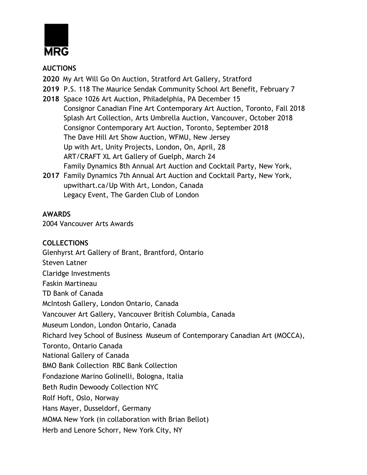

### **AUCTIONS**

- **2020** My Art Will Go On Auction, Stratford Art Gallery, Stratford
- **2019** P.S. 118 The Maurice Sendak Community School Art Benefit, February 7
- **2018** Space 1026 Art Auction, Philadelphia, PA December 15 Consignor Canadian Fine Art Contemporary Art Auction, Toronto, Fall 2018 Splash Art Collection, Arts Umbrella Auction, Vancouver, October 2018 Consignor Contemporary Art Auction, Toronto, September 2018 The Dave Hill Art Show Auction, WFMU, New Jersey Up with Art, Unity Projects, London, On, April, 28 ART/CRAFT XL Art Gallery of Guelph, March 24 Family Dynamics 8th Annual Art Auction and Cocktail Party, New York,
- **2017** Family Dynamics 7th Annual Art Auction and Cocktail Party, New York, upwithart.ca/Up With Art, London, Canada Legacy Event, The Garden Club of London

### **AWARDS**

2004 Vancouver Arts Awards

#### **COLLECTIONS**

Glenhyrst Art Gallery of Brant, Brantford, Ontario Steven Latner Claridge Investments Faskin Martineau TD Bank of Canada McIntosh Gallery, London Ontario, Canada Vancouver Art Gallery, Vancouver British Columbia, Canada Museum London, London Ontario, Canada Richard Ivey School of Business Museum of Contemporary Canadian Art (MOCCA), Toronto, Ontario Canada National Gallery of Canada BMO Bank Collection RBC Bank Collection Fondazione Marino Golinelli, Bologna, Italia Beth Rudin Dewoody Collection NYC Rolf Hoft, Oslo, Norway Hans Mayer, Dusseldorf, Germany MOMA New York (in collaboration with Brian Bellot) Herb and Lenore Schorr, New York City, NY